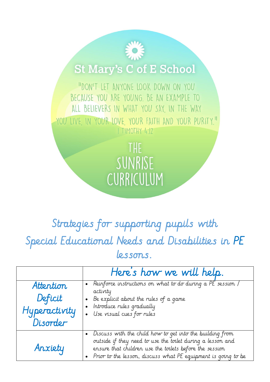## **St Mary's C of E School**

"DON'T LET ANYONE LOOK DOWN ON YOU BECAUSE YOU ARE YOUNG. BE AN EXAMPLE TO ALL BELIEVERS IN WHAT YOU SAY, IN THE WAY YOU LIVE IN YOUR LOVE YOUR FAITH AND YOUR PURITY." I TIMOTHY 4:12

> THE SUNRISE CURRICULUM

## Strategies for supporting pupils with Special Educational Needs and Disabilities in PE lessons.

|                                                   | Here's how we will help.                                                                                                                                                                                                                           |
|---------------------------------------------------|----------------------------------------------------------------------------------------------------------------------------------------------------------------------------------------------------------------------------------------------------|
| Attention<br>Deficit<br>Hyperactivity<br>Disorder | Reinforce instructions on what to do during a PE session /<br>activity<br>Be explicit about the rules of a game<br>Introduce rules gradually<br>Use visual cues for rules                                                                          |
| Anxiety                                           | Discuss with the child how to get into the building from<br>outside if they need to use the toilet during a lesson and<br>ensure that children use the toilets before the session<br>Prior to the lesson, discuss what PE equipment is going to be |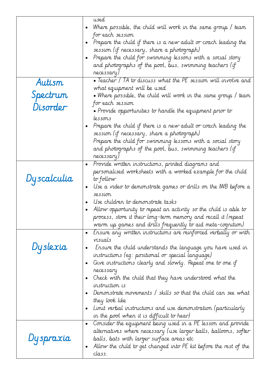|             | used                                                                                                                 |
|-------------|----------------------------------------------------------------------------------------------------------------------|
|             | Where possible, the child will work in the same group / team<br>$\bullet$                                            |
|             | for each session<br>Prepare the child if there is a new adult or coach leading the                                   |
|             | session (if necessary, share a photograph)                                                                           |
|             | Prepare the child for swimming lessons with a social story<br>$\bullet$                                              |
|             | and photographs of the pool, bus, swimming teachers (if                                                              |
|             | necessary)                                                                                                           |
| Autism      | • Teacher / TA to discuss what the PE session will involve and                                                       |
|             | what equipment will be used                                                                                          |
| Spectrum    | $\bullet$ Where possible, the child will work in the same group / team $\,$                                          |
|             | for each session                                                                                                     |
| Disorder    | $\bullet$ Provide opportunities to handle the equipment prior to                                                     |
|             | lessons                                                                                                              |
|             | Prepare the child if there is a new adult or coach leading the                                                       |
|             | session (if necessary, share a photograph)                                                                           |
|             | Prepare the child for swimming lessons with a social story                                                           |
|             | and photographs of the pool, bus, swimming teachers (if                                                              |
|             | necessary)                                                                                                           |
|             | Provide written instructions, printed diagrams and<br>$\bullet$                                                      |
|             | personalised worksheets with a worked example for the child                                                          |
| Dyscalculia | to follow                                                                                                            |
|             | Use a video to demonstrate games or drills on the IWB before a                                                       |
|             | $\bullet$<br>session                                                                                                 |
|             | Use children to demonstrate tasks                                                                                    |
|             | Allow opportunity to repeat an activity so the child is able to<br>٠                                                 |
|             | process, store it their long-term memory and recall it (repeat                                                       |
|             | warm up games and drills frequently to aid meta-cognition)                                                           |
|             | Ensure any written instructions are reinforced verbally or with<br>$\bullet$                                         |
|             | visuals                                                                                                              |
| Dyslexia    |                                                                                                                      |
|             | Ensure the child understands the language you have used in<br>٠<br>instructions (eq: positional or special language) |
|             |                                                                                                                      |
|             | Give instructions clearly and slowly. Repeat one to one if<br>٠<br>necessary                                         |
|             | Check with the child that they have understood what the<br>$\bullet$                                                 |
|             | instruction is                                                                                                       |
|             | Demonstrate movements / skills so that the child can see what                                                        |
|             | they look like                                                                                                       |
|             | Limit verbal instructions and use demonstration (particularly                                                        |
|             | in the pool when it is difficult to hear)                                                                            |
|             | Consider the equipment being used in a PE lesson and provide<br>$\bullet$                                            |
|             | alternatives where necessary (use larger balls, balloons, softer                                                     |
| Dyspraxia   | balls, bats with larger surface areas etc                                                                            |
|             | Allow the child to get changed into PE kit before the rest of the<br>٠                                               |
|             | class.                                                                                                               |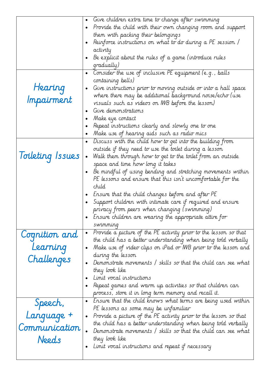|                  | Give children extra time to change after swimming<br>$\bullet$                |
|------------------|-------------------------------------------------------------------------------|
|                  | Provide the child with their own changing room and support<br>$\bullet$       |
|                  | them with packing their belongings                                            |
|                  | Reinforce instructions on what to do during a PE session /                    |
|                  | activity                                                                      |
|                  | Be explicit about the rules of a game (introduce rules                        |
|                  | qradually)                                                                    |
|                  | Consider the use of inclusive PE equipment (e.g., balls<br>$\bullet$          |
|                  | containing bells)                                                             |
| Hearing          | Give instructions prior to moving outside or into a hall space<br>$\bullet$   |
|                  | where there may be additional background noise/echo (use                      |
| Impairment       | visuals such as videos on IWB before the lesson)                              |
|                  | Give demonstrations                                                           |
|                  | Make eye contact                                                              |
|                  | Repeat instructions clearly and slowly one to one                             |
|                  | Make use of hearing aids such as radio mics<br>٠                              |
|                  | Discuss with the child how to get into the building from<br>$\bullet$         |
|                  | outside if they need to use the toilet during a lesson                        |
| Toileting Issues | Walk them through how to get to the toilet from an outside                    |
|                  | space and time how long it takes                                              |
|                  | Be mindful of using bending and stretching movements within                   |
|                  | PE lessons and ensure that this isn't uncomfortable for the                   |
|                  | child                                                                         |
|                  | Ensure that the child changes before and after PE                             |
|                  | Support children with intimate care if required and ensure                    |
|                  | privacy from peers when changing (swimming)                                   |
|                  | Ensure children are wearing the appropriate attire for                        |
|                  | swimming                                                                      |
|                  | Provide a picture of the PE activity prior to the lesson so that<br>$\bullet$ |
| Cognition and    | the child has a better understanding when being told verbally                 |
| Learning         | Make use of video clips on iPad or IWB prior to the lesson and<br>$\bullet$   |
|                  | during the lesson                                                             |
| Challenges       | Demonstrate movements / skills so that the child can see what                 |
|                  | they look like                                                                |
|                  | Limit vocal instructions                                                      |
|                  | - Repeat games and warm up activities so that children can                    |
|                  | process, store it in long term memory and recall it.                          |
|                  | Ensure that the child knows what terms are being used within<br>$\bullet$     |
| Speech,          | Pt lessons as some may be unfamiliar                                          |
| Language +       | Provide a picture of the PE activity prior to the lesson so that<br>$\bullet$ |
|                  | the child has a better understanding when being told verbally                 |
| Communication    | Demonstrate movements / skills so that the child can see what                 |
| Needs            | they look like                                                                |
|                  | Limit vocal instructions and repeat if necessary                              |
|                  |                                                                               |